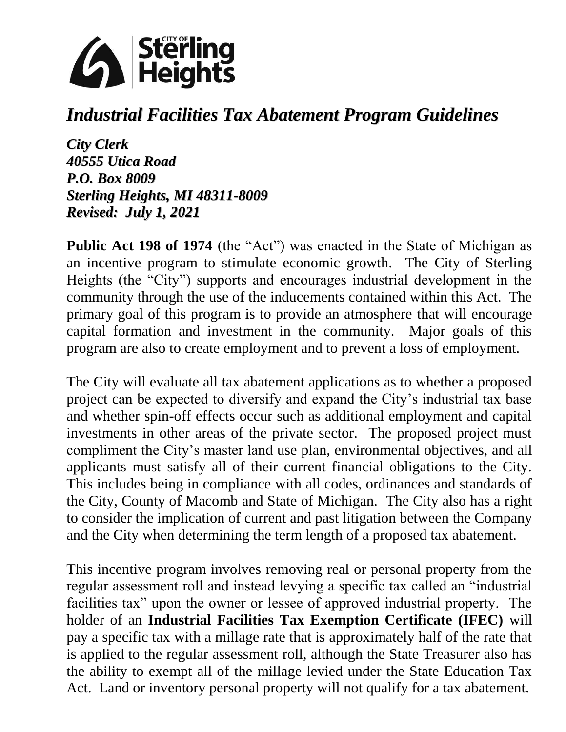

# *Industrial Facilities Tax Abatement Program Guidelines*

*City Clerk 40555 Utica Road P.O. Box 8009 Sterling Heights, MI 48311-8009 Revised: July 1, 2021*

**Public Act 198 of 1974** (the "Act") was enacted in the State of Michigan as an incentive program to stimulate economic growth. The City of Sterling Heights (the "City") supports and encourages industrial development in the community through the use of the inducements contained within this Act. The primary goal of this program is to provide an atmosphere that will encourage capital formation and investment in the community. Major goals of this program are also to create employment and to prevent a loss of employment.

The City will evaluate all tax abatement applications as to whether a proposed project can be expected to diversify and expand the City's industrial tax base and whether spin-off effects occur such as additional employment and capital investments in other areas of the private sector. The proposed project must compliment the City's master land use plan, environmental objectives, and all applicants must satisfy all of their current financial obligations to the City. This includes being in compliance with all codes, ordinances and standards of the City, County of Macomb and State of Michigan. The City also has a right to consider the implication of current and past litigation between the Company and the City when determining the term length of a proposed tax abatement.

This incentive program involves removing real or personal property from the regular assessment roll and instead levying a specific tax called an "industrial facilities tax" upon the owner or lessee of approved industrial property. The holder of an **Industrial Facilities Tax Exemption Certificate (IFEC)** will pay a specific tax with a millage rate that is approximately half of the rate that is applied to the regular assessment roll, although the State Treasurer also has the ability to exempt all of the millage levied under the State Education Tax Act. Land or inventory personal property will not qualify for a tax abatement.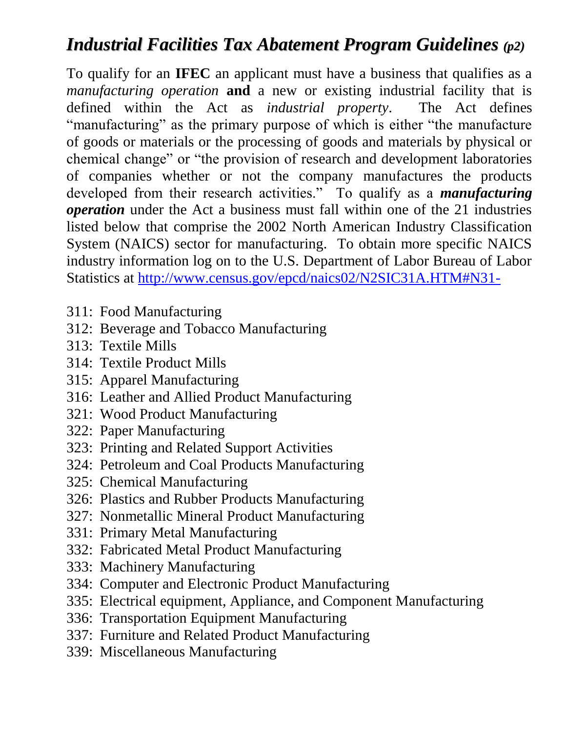# *Industrial Facilities Tax Abatement Program Guidelines (p2)*

To qualify for an **IFEC** an applicant must have a business that qualifies as a *manufacturing operation* **and** a new or existing industrial facility that is defined within the Act as *industrial property*. The Act defines "manufacturing" as the primary purpose of which is either "the manufacture of goods or materials or the processing of goods and materials by physical or chemical change" or "the provision of research and development laboratories of companies whether or not the company manufactures the products developed from their research activities." To qualify as a *manufacturing operation* under the Act a business must fall within one of the 21 industries listed below that comprise the 2002 North American Industry Classification System (NAICS) sector for manufacturing. To obtain more specific NAICS industry information log on to the U.S. Department of Labor Bureau of Labor Statistics at<http://www.census.gov/epcd/naics02/N2SIC31A.HTM#N31->

- 311: Food Manufacturing
- 312: Beverage and Tobacco Manufacturing
- 313: Textile Mills
- 314: Textile Product Mills
- 315: Apparel Manufacturing
- 316: Leather and Allied Product Manufacturing
- 321: Wood Product Manufacturing
- 322: Paper Manufacturing
- 323: Printing and Related Support Activities
- 324: Petroleum and Coal Products Manufacturing
- 325: Chemical Manufacturing
- 326: Plastics and Rubber Products Manufacturing
- 327: Nonmetallic Mineral Product Manufacturing
- 331: Primary Metal Manufacturing
- 332: Fabricated Metal Product Manufacturing
- 333: Machinery Manufacturing
- 334: Computer and Electronic Product Manufacturing
- 335: Electrical equipment, Appliance, and Component Manufacturing
- 336: Transportation Equipment Manufacturing
- 337: Furniture and Related Product Manufacturing
- 339: Miscellaneous Manufacturing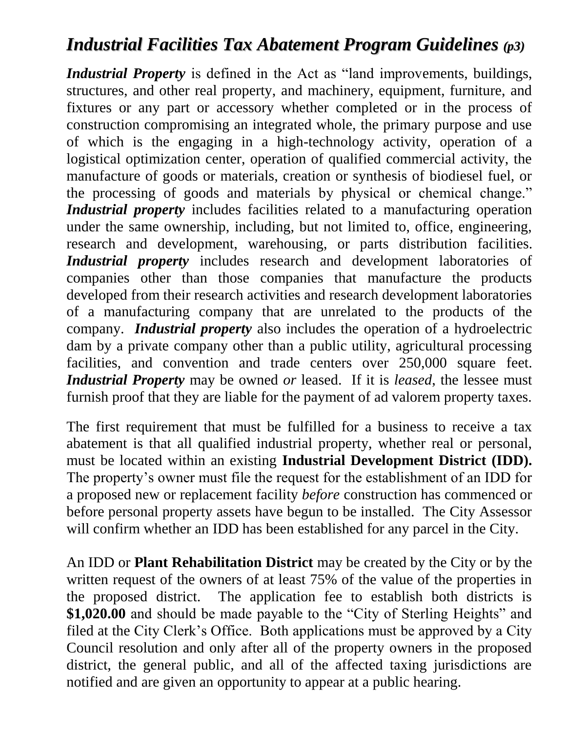## *Industrial Facilities Tax Abatement Program Guidelines (p3)*

*Industrial Property* is defined in the Act as "land improvements, buildings, structures, and other real property, and machinery, equipment, furniture, and fixtures or any part or accessory whether completed or in the process of construction compromising an integrated whole, the primary purpose and use of which is the engaging in a high-technology activity, operation of a logistical optimization center, operation of qualified commercial activity, the manufacture of goods or materials, creation or synthesis of biodiesel fuel, or the processing of goods and materials by physical or chemical change." *Industrial property* includes facilities related to a manufacturing operation under the same ownership, including, but not limited to, office, engineering, research and development, warehousing, or parts distribution facilities. *Industrial property* includes research and development laboratories of companies other than those companies that manufacture the products developed from their research activities and research development laboratories of a manufacturing company that are unrelated to the products of the company. *Industrial property* also includes the operation of a hydroelectric dam by a private company other than a public utility, agricultural processing facilities, and convention and trade centers over 250,000 square feet. *Industrial Property* may be owned *or* leased. If it is *leased*, the lessee must furnish proof that they are liable for the payment of ad valorem property taxes.

The first requirement that must be fulfilled for a business to receive a tax abatement is that all qualified industrial property, whether real or personal, must be located within an existing **Industrial Development District (IDD).** The property's owner must file the request for the establishment of an IDD for a proposed new or replacement facility *before* construction has commenced or before personal property assets have begun to be installed. The City Assessor will confirm whether an IDD has been established for any parcel in the City.

An IDD or **Plant Rehabilitation District** may be created by the City or by the written request of the owners of at least 75% of the value of the properties in the proposed district. The application fee to establish both districts is **\$1,020.00** and should be made payable to the "City of Sterling Heights" and filed at the City Clerk's Office. Both applications must be approved by a City Council resolution and only after all of the property owners in the proposed district, the general public, and all of the affected taxing jurisdictions are notified and are given an opportunity to appear at a public hearing.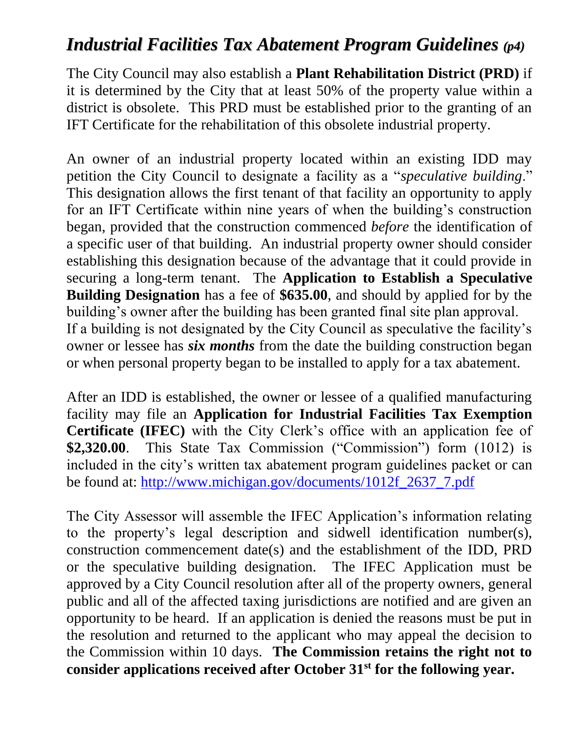### *Industrial Facilities Tax Abatement Program Guidelines (p4)*

The City Council may also establish a **Plant Rehabilitation District (PRD)** if it is determined by the City that at least 50% of the property value within a district is obsolete. This PRD must be established prior to the granting of an IFT Certificate for the rehabilitation of this obsolete industrial property.

An owner of an industrial property located within an existing IDD may petition the City Council to designate a facility as a "*speculative building*." This designation allows the first tenant of that facility an opportunity to apply for an IFT Certificate within nine years of when the building's construction began, provided that the construction commenced *before* the identification of a specific user of that building. An industrial property owner should consider establishing this designation because of the advantage that it could provide in securing a long-term tenant. The **Application to Establish a Speculative Building Designation** has a fee of **\$635.00**, and should by applied for by the building's owner after the building has been granted final site plan approval. If a building is not designated by the City Council as speculative the facility's owner or lessee has *six months* from the date the building construction began or when personal property began to be installed to apply for a tax abatement.

After an IDD is established, the owner or lessee of a qualified manufacturing facility may file an **Application for Industrial Facilities Tax Exemption Certificate (IFEC)** with the City Clerk's office with an application fee of **\$2,320.00**. This State Tax Commission ("Commission") form (1012) is included in the city's written tax abatement program guidelines packet or can be found at: [http://www.michigan.gov/documents/1012f\\_2637\\_7.pdf](http://www.michigan.gov/documents/1012f_2637_7.pdf)

The City Assessor will assemble the IFEC Application's information relating to the property's legal description and sidwell identification number(s), construction commencement date(s) and the establishment of the IDD, PRD or the speculative building designation. The IFEC Application must be approved by a City Council resolution after all of the property owners, general public and all of the affected taxing jurisdictions are notified and are given an opportunity to be heard. If an application is denied the reasons must be put in the resolution and returned to the applicant who may appeal the decision to the Commission within 10 days. **The Commission retains the right not to consider applications received after October 31st for the following year.**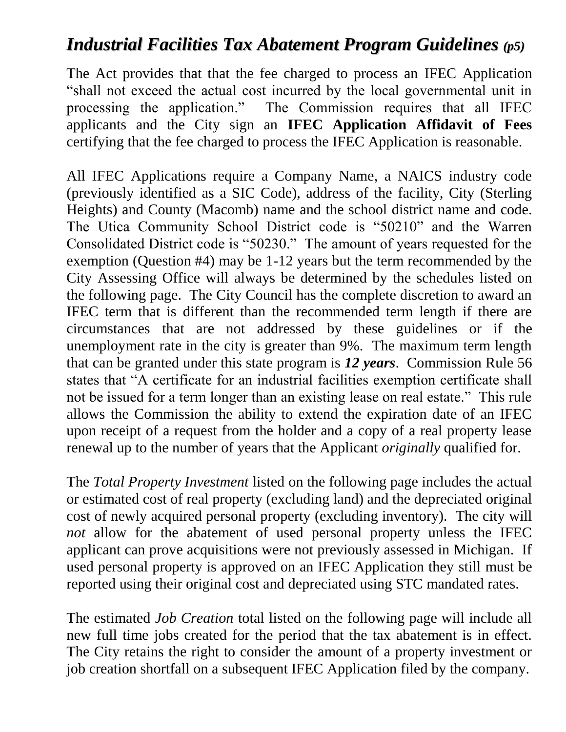### *Industrial Facilities Tax Abatement Program Guidelines (p5)*

The Act provides that that the fee charged to process an IFEC Application "shall not exceed the actual cost incurred by the local governmental unit in processing the application." The Commission requires that all IFEC applicants and the City sign an **IFEC Application Affidavit of Fees** certifying that the fee charged to process the IFEC Application is reasonable.

All IFEC Applications require a Company Name, a NAICS industry code (previously identified as a SIC Code), address of the facility, City (Sterling Heights) and County (Macomb) name and the school district name and code. The Utica Community School District code is "50210" and the Warren Consolidated District code is "50230." The amount of years requested for the exemption (Question #4) may be 1-12 years but the term recommended by the City Assessing Office will always be determined by the schedules listed on the following page. The City Council has the complete discretion to award an IFEC term that is different than the recommended term length if there are circumstances that are not addressed by these guidelines or if the unemployment rate in the city is greater than 9%. The maximum term length that can be granted under this state program is *12 years*. Commission Rule 56 states that "A certificate for an industrial facilities exemption certificate shall not be issued for a term longer than an existing lease on real estate." This rule allows the Commission the ability to extend the expiration date of an IFEC upon receipt of a request from the holder and a copy of a real property lease renewal up to the number of years that the Applicant *originally* qualified for.

The *Total Property Investment* listed on the following page includes the actual or estimated cost of real property (excluding land) and the depreciated original cost of newly acquired personal property (excluding inventory). The city will *not* allow for the abatement of used personal property unless the IFEC applicant can prove acquisitions were not previously assessed in Michigan. If used personal property is approved on an IFEC Application they still must be reported using their original cost and depreciated using STC mandated rates.

The estimated *Job Creation* total listed on the following page will include all new full time jobs created for the period that the tax abatement is in effect. The City retains the right to consider the amount of a property investment or job creation shortfall on a subsequent IFEC Application filed by the company.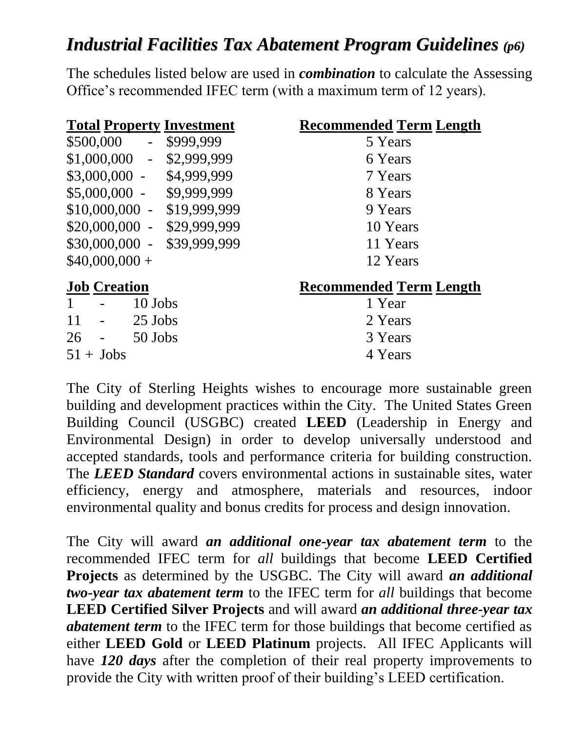## *Industrial Facilities Tax Abatement Program Guidelines (p6)*

The schedules listed below are used in *combination* to calculate the Assessing Office's recommended IFEC term (with a maximum term of 12 years).

| <b>Total Property Investment</b>              | <b>Recommended Term Length</b> |
|-----------------------------------------------|--------------------------------|
| \$500,000<br>\$999,999<br>$\omega_{\rm{max}}$ | 5 Years                        |
| $$1,000,000 - $2,999,999$                     | 6 Years                        |
| $$3,000,000 - $4,999,999$                     | 7 Years                        |
| $$5,000,000 - $9,999,999$                     | 8 Years                        |
| $$10,000,000 - $19,999,999$                   | 9 Years                        |
| \$20,000,000 - \$29,999,999                   | 10 Years                       |
| \$30,000,000 - \$39,999,999                   | 11 Years                       |
| $$40,000,000+$                                | 12 Years                       |
| <b>Job Creation</b>                           | <b>Recommended Term Length</b> |
| 10 Jobs<br>$\mathbf{1}$                       | 1 Year                         |
| 11<br>$25$ Jobs                               | 2 Years                        |
| $26 -$<br>50 Jobs                             | 3 Years                        |
| $51 + \text{Jobs}$                            | 4 Years                        |

The City of Sterling Heights wishes to encourage more sustainable green building and development practices within the City. The United States Green Building Council (USGBC) created **LEED** (Leadership in Energy and Environmental Design) in order to develop universally understood and accepted standards, tools and performance criteria for building construction. The *LEED Standard* covers environmental actions in sustainable sites, water efficiency, energy and atmosphere, materials and resources, indoor environmental quality and bonus credits for process and design innovation.

The City will award *an additional one-year tax abatement term* to the recommended IFEC term for *all* buildings that become **LEED Certified Projects** as determined by the USGBC. The City will award *an additional two-year tax abatement term* to the IFEC term for *all* buildings that become **LEED Certified Silver Projects** and will award *an additional three-year tax abatement term* to the IFEC term for those buildings that become certified as either **LEED Gold** or **LEED Platinum** projects. All IFEC Applicants will have *120 days* after the completion of their real property improvements to provide the City with written proof of their building's LEED certification.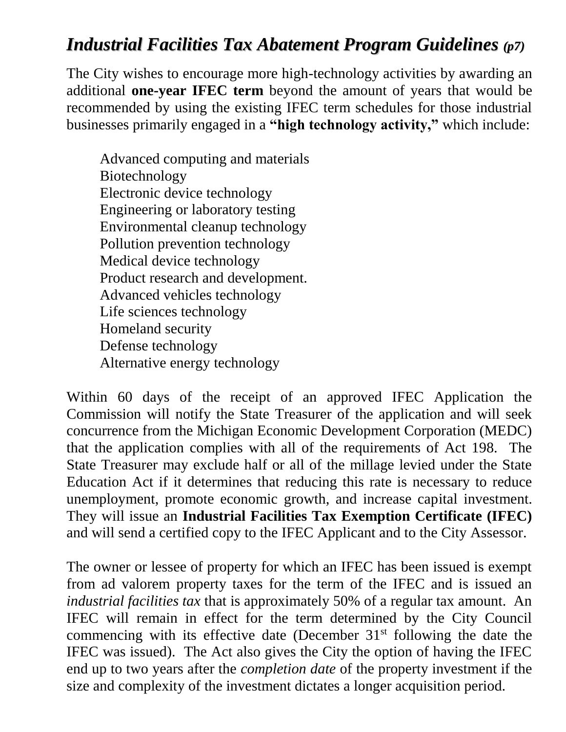## *Industrial Facilities Tax Abatement Program Guidelines (p7)*

The City wishes to encourage more high-technology activities by awarding an additional **one-year IFEC term** beyond the amount of years that would be recommended by using the existing IFEC term schedules for those industrial businesses primarily engaged in a **"high technology activity,"** which include:

Advanced computing and materials Biotechnology Electronic device technology Engineering or laboratory testing Environmental cleanup technology Pollution prevention technology Medical device technology Product research and development. Advanced vehicles technology Life sciences technology Homeland security Defense technology Alternative energy technology

Within 60 days of the receipt of an approved IFEC Application the Commission will notify the State Treasurer of the application and will seek concurrence from the Michigan Economic Development Corporation (MEDC) that the application complies with all of the requirements of Act 198. The State Treasurer may exclude half or all of the millage levied under the State Education Act if it determines that reducing this rate is necessary to reduce unemployment, promote economic growth, and increase capital investment. They will issue an **Industrial Facilities Tax Exemption Certificate (IFEC)** and will send a certified copy to the IFEC Applicant and to the City Assessor.

The owner or lessee of property for which an IFEC has been issued is exempt from ad valorem property taxes for the term of the IFEC and is issued an *industrial facilities tax* that is approximately 50% of a regular tax amount. An IFEC will remain in effect for the term determined by the City Council commencing with its effective date (December  $31<sup>st</sup>$  following the date the IFEC was issued). The Act also gives the City the option of having the IFEC end up to two years after the *completion date* of the property investment if the size and complexity of the investment dictates a longer acquisition period.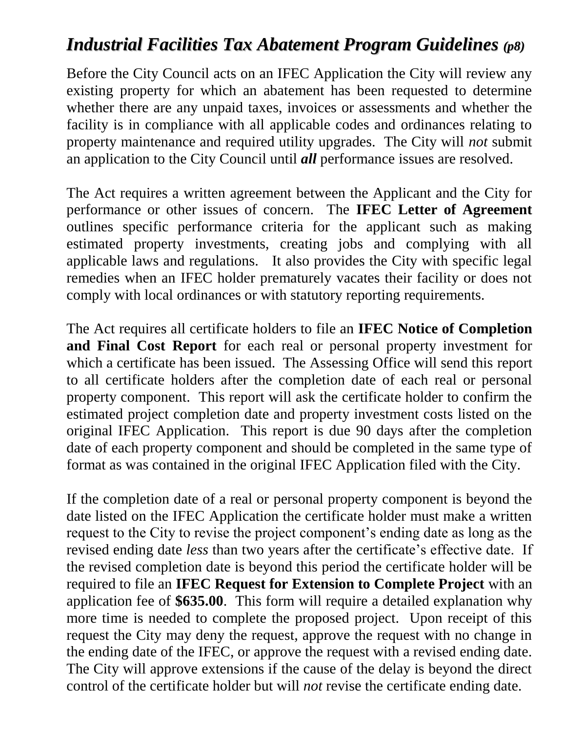## *Industrial Facilities Tax Abatement Program Guidelines (p8)*

Before the City Council acts on an IFEC Application the City will review any existing property for which an abatement has been requested to determine whether there are any unpaid taxes, invoices or assessments and whether the facility is in compliance with all applicable codes and ordinances relating to property maintenance and required utility upgrades. The City will *not* submit an application to the City Council until *all* performance issues are resolved.

The Act requires a written agreement between the Applicant and the City for performance or other issues of concern. The **IFEC Letter of Agreement**  outlines specific performance criteria for the applicant such as making estimated property investments, creating jobs and complying with all applicable laws and regulations. It also provides the City with specific legal remedies when an IFEC holder prematurely vacates their facility or does not comply with local ordinances or with statutory reporting requirements.

The Act requires all certificate holders to file an **IFEC Notice of Completion and Final Cost Report** for each real or personal property investment for which a certificate has been issued. The Assessing Office will send this report to all certificate holders after the completion date of each real or personal property component. This report will ask the certificate holder to confirm the estimated project completion date and property investment costs listed on the original IFEC Application. This report is due 90 days after the completion date of each property component and should be completed in the same type of format as was contained in the original IFEC Application filed with the City.

If the completion date of a real or personal property component is beyond the date listed on the IFEC Application the certificate holder must make a written request to the City to revise the project component's ending date as long as the revised ending date *less* than two years after the certificate's effective date. If the revised completion date is beyond this period the certificate holder will be required to file an **IFEC Request for Extension to Complete Project** with an application fee of **\$635.00**. This form will require a detailed explanation why more time is needed to complete the proposed project. Upon receipt of this request the City may deny the request, approve the request with no change in the ending date of the IFEC, or approve the request with a revised ending date. The City will approve extensions if the cause of the delay is beyond the direct control of the certificate holder but will *not* revise the certificate ending date.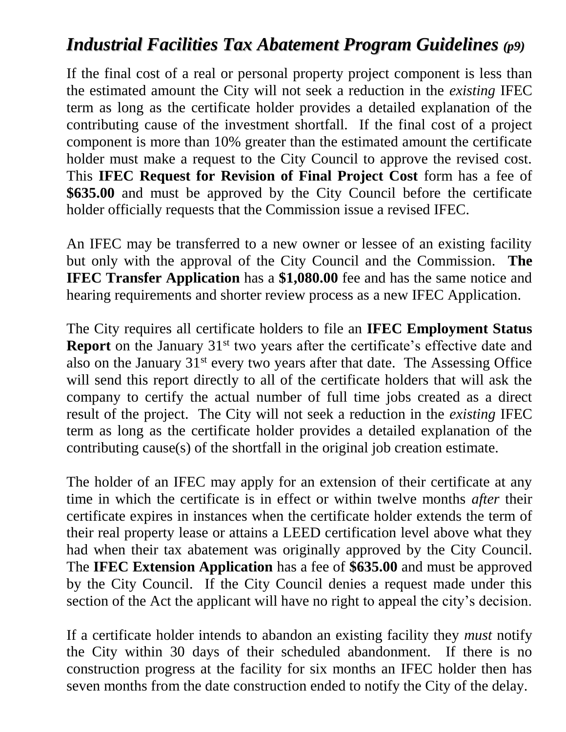## *Industrial Facilities Tax Abatement Program Guidelines (p9)*

If the final cost of a real or personal property project component is less than the estimated amount the City will not seek a reduction in the *existing* IFEC term as long as the certificate holder provides a detailed explanation of the contributing cause of the investment shortfall. If the final cost of a project component is more than 10% greater than the estimated amount the certificate holder must make a request to the City Council to approve the revised cost. This **IFEC Request for Revision of Final Project Cost** form has a fee of **\$635.00** and must be approved by the City Council before the certificate holder officially requests that the Commission issue a revised IFEC.

An IFEC may be transferred to a new owner or lessee of an existing facility but only with the approval of the City Council and the Commission. **The IFEC Transfer Application** has a \$1,080.00 fee and has the same notice and hearing requirements and shorter review process as a new IFEC Application.

The City requires all certificate holders to file an **IFEC Employment Status Report** on the January 31<sup>st</sup> two years after the certificate's effective date and also on the January  $31<sup>st</sup>$  every two years after that date. The Assessing Office will send this report directly to all of the certificate holders that will ask the company to certify the actual number of full time jobs created as a direct result of the project. The City will not seek a reduction in the *existing* IFEC term as long as the certificate holder provides a detailed explanation of the contributing cause(s) of the shortfall in the original job creation estimate.

The holder of an IFEC may apply for an extension of their certificate at any time in which the certificate is in effect or within twelve months *after* their certificate expires in instances when the certificate holder extends the term of their real property lease or attains a LEED certification level above what they had when their tax abatement was originally approved by the City Council. The **IFEC Extension Application** has a fee of **\$635.00** and must be approved by the City Council. If the City Council denies a request made under this section of the Act the applicant will have no right to appeal the city's decision.

If a certificate holder intends to abandon an existing facility they *must* notify the City within 30 days of their scheduled abandonment. If there is no construction progress at the facility for six months an IFEC holder then has seven months from the date construction ended to notify the City of the delay.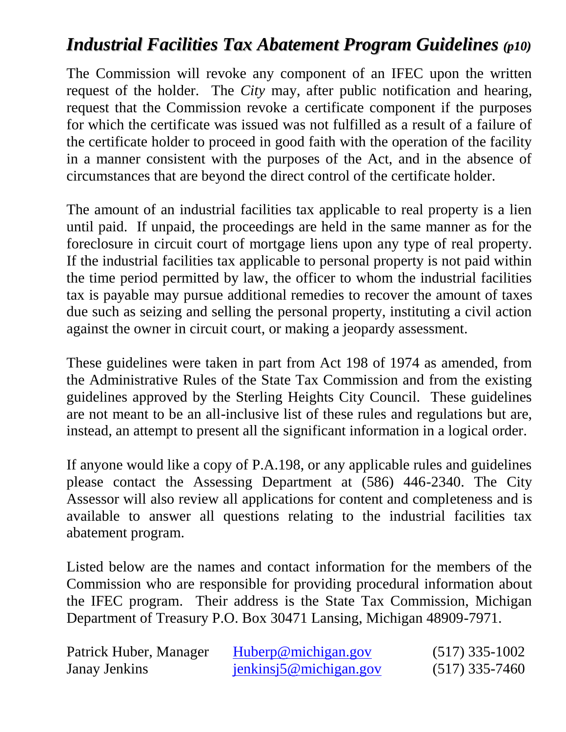## *Industrial Facilities Tax Abatement Program Guidelines (p10)*

The Commission will revoke any component of an IFEC upon the written request of the holder. The *City* may, after public notification and hearing, request that the Commission revoke a certificate component if the purposes for which the certificate was issued was not fulfilled as a result of a failure of the certificate holder to proceed in good faith with the operation of the facility in a manner consistent with the purposes of the Act, and in the absence of circumstances that are beyond the direct control of the certificate holder.

The amount of an industrial facilities tax applicable to real property is a lien until paid. If unpaid, the proceedings are held in the same manner as for the foreclosure in circuit court of mortgage liens upon any type of real property. If the industrial facilities tax applicable to personal property is not paid within the time period permitted by law, the officer to whom the industrial facilities tax is payable may pursue additional remedies to recover the amount of taxes due such as seizing and selling the personal property, instituting a civil action against the owner in circuit court, or making a jeopardy assessment.

These guidelines were taken in part from Act 198 of 1974 as amended, from the Administrative Rules of the State Tax Commission and from the existing guidelines approved by the Sterling Heights City Council. These guidelines are not meant to be an all-inclusive list of these rules and regulations but are, instead, an attempt to present all the significant information in a logical order.

If anyone would like a copy of P.A.198, or any applicable rules and guidelines please contact the Assessing Department at (586) 446-2340. The City Assessor will also review all applications for content and completeness and is available to answer all questions relating to the industrial facilities tax abatement program.

Listed below are the names and contact information for the members of the Commission who are responsible for providing procedural information about the IFEC program. Their address is the State Tax Commission, Michigan Department of Treasury P.O. Box 30471 Lansing, Michigan 48909-7971.

| Patrick Huber, Manager | Huberp@michigan.gov           | $(517)$ 335-1002 |
|------------------------|-------------------------------|------------------|
| <b>Janay Jenkins</b>   | $j$ enkinsj $5@$ michigan.gov | $(517)$ 335-7460 |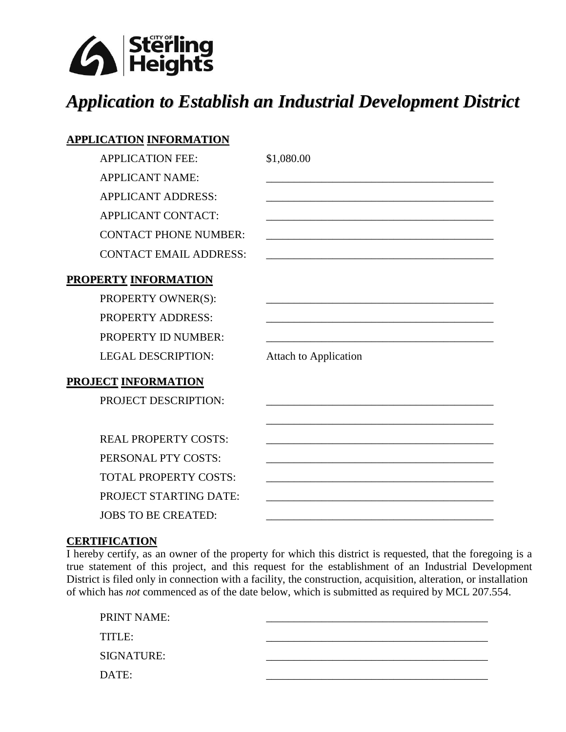

# *Application to Establish an Industrial Development District*

### **APPLICATION INFORMATION**

APPLICATION FEE: \$1,080.00 APPLICANT NAME: APPLICANT ADDRESS: APPLICANT CONTACT: CONTACT PHONE NUMBER: CONTACT EMAIL ADDRESS:

### **PROPERTY INFORMATION**

PROPERTY OWNER(S): PROPERTY ADDRESS: PROPERTY ID NUMBER: LEGAL DESCRIPTION: Attach to Application

#### **PROJECT INFORMATION**

PROJECT DESCRIPTION: \_\_\_\_\_\_\_\_\_\_\_\_\_\_\_\_\_\_\_\_\_\_\_\_\_\_\_\_\_\_\_\_\_\_\_\_\_\_\_\_\_ REAL PROPERTY COSTS: PERSONAL PTY COSTS: TOTAL PROPERTY COSTS: PROJECT STARTING DATE: JOBS TO BE CREATED:

#### **CERTIFICATION**

I hereby certify, as an owner of the property for which this district is requested, that the foregoing is a true statement of this project, and this request for the establishment of an Industrial Development District is filed only in connection with a facility, the construction, acquisition, alteration, or installation of which has *not* commenced as of the date below, which is submitted as required by MCL 207.554.

| PRINT NAME: |  |
|-------------|--|
| TITLE:      |  |
| SIGNATURE:  |  |
| DATE:       |  |
|             |  |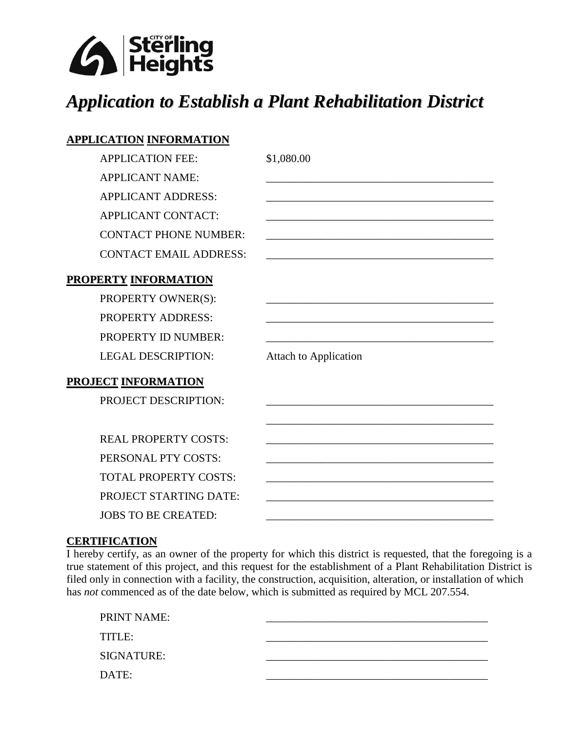

# *Application to Establish a Plant Rehabilitation District*

### **APPLICATION INFORMATION**

APPLICATION FEE: \$1,080.00 APPLICANT NAME: APPLICANT ADDRESS: APPLICANT CONTACT: CONTACT PHONE NUMBER: CONTACT EMAIL ADDRESS:

### **PROPERTY INFORMATION**

PROPERTY OWNER(S): PROPERTY ADDRESS: PROPERTY ID NUMBER: LEGAL DESCRIPTION: Attach to Application

#### **PROJECT INFORMATION**

PROJECT DESCRIPTION:

REAL PROPERTY COSTS: PERSONAL PTY COSTS: TOTAL PROPERTY COSTS: PROJECT STARTING DATE: JOBS TO BE CREATED:

\_\_\_\_\_\_\_\_\_\_\_\_\_\_\_\_\_\_\_\_\_\_\_\_\_\_\_\_\_\_\_\_\_\_\_\_\_\_\_\_\_

#### **CERTIFICATION**

I hereby certify, as an owner of the property for which this district is requested, that the foregoing is a true statement of this project, and this request for the establishment of a Plant Rehabilitation District is filed only in connection with a facility, the construction, acquisition, alteration, or installation of which has *not* commenced as of the date below, which is submitted as required by MCL 207.554.

| PRINT NAME:       |  |
|-------------------|--|
| TITLE:            |  |
| <b>SIGNATURE:</b> |  |
| DATE:             |  |
|                   |  |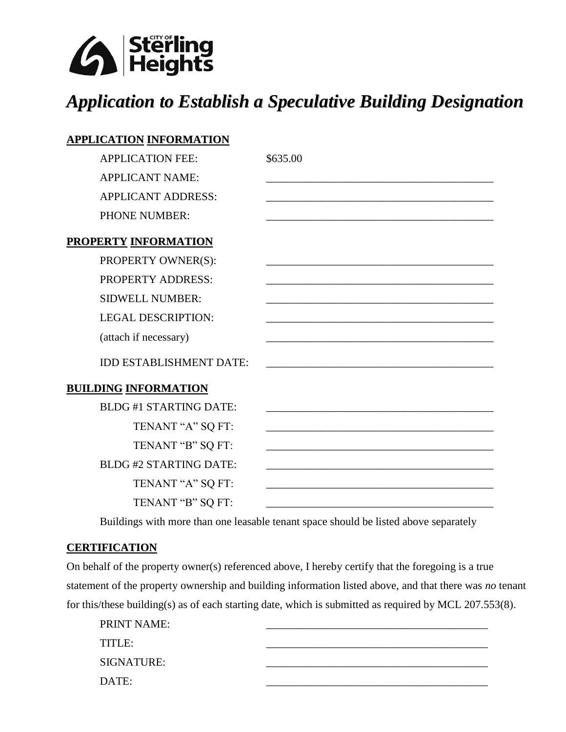

# *Application to Establish a Speculative Building Designation*

| <b>APPLICATION INFORMATION</b> |          |
|--------------------------------|----------|
| <b>APPLICATION FEE:</b>        | \$635.00 |
| <b>APPLICANT NAME:</b>         |          |
| <b>APPLICANT ADDRESS:</b>      |          |
| <b>PHONE NUMBER:</b>           |          |
| <b>PROPERTY INFORMATION</b>    |          |
| PROPERTY OWNER(S):             |          |
| PROPERTY ADDRESS:              |          |
| <b>SIDWELL NUMBER:</b>         |          |
| <b>LEGAL DESCRIPTION:</b>      |          |
| (attach if necessary)          |          |
| <b>IDD ESTABLISHMENT DATE:</b> |          |
| <b>BUILDING INFORMATION</b>    |          |
| <b>BLDG#1 STARTING DATE:</b>   |          |
| TENANT "A" SQ FT:              |          |
| TENANT "B" SQ FT:              |          |
| <b>BLDG #2 STARTING DATE:</b>  |          |
| TENANT "A" SQ FT:              |          |
| TENANT "B" SQ FT:              |          |

Buildings with more than one leasable tenant space should be listed above separately

#### **CERTIFICATION**

On behalf of the property owner(s) referenced above, I hereby certify that the foregoing is a true statement of the property ownership and building information listed above, and that there was *no* tenant for this/these building(s) as of each starting date, which is submitted as required by MCL 207.553(8).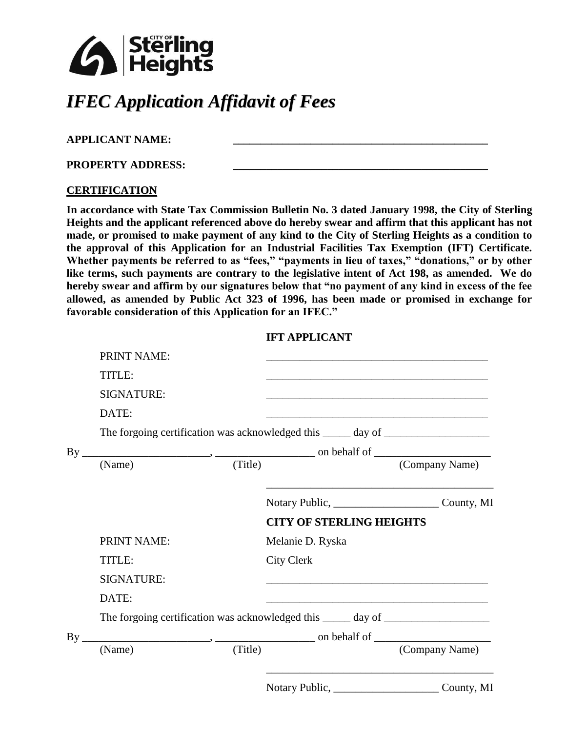

# *IFEC Application Affidavit of Fees*

### **APPLICANT NAME: \_\_\_\_\_\_\_\_\_\_\_\_\_\_\_\_\_\_\_\_\_\_\_\_\_\_\_\_\_\_\_\_\_\_\_\_\_\_\_\_\_\_\_\_\_\_**

**PROPERTY ADDRESS: \_\_\_\_\_\_\_\_\_\_\_\_\_\_\_\_\_\_\_\_\_\_\_\_\_\_\_\_\_\_\_\_\_\_\_\_\_\_\_\_\_\_\_\_\_\_**

#### **CERTIFICATION**

**In accordance with State Tax Commission Bulletin No. 3 dated January 1998, the City of Sterling Heights and the applicant referenced above do hereby swear and affirm that this applicant has not made, or promised to make payment of any kind to the City of Sterling Heights as a condition to the approval of this Application for an Industrial Facilities Tax Exemption (IFT) Certificate.**  Whether payments be referred to as "fees," "payments in lieu of taxes," "donations," or by other **like terms, such payments are contrary to the legislative intent of Act 198, as amended. We do hereby swear and affirm by our signatures below that "no payment of any kind in excess of the fee allowed, as amended by Public Act 323 of 1996, has been made or promised in exchange for favorable consideration of this Application for an IFEC."**

#### **IFT APPLICANT**

|          | <b>PRINT NAME:</b> |         |                                                                                                                                                                                                                                                                                                   |                      |
|----------|--------------------|---------|---------------------------------------------------------------------------------------------------------------------------------------------------------------------------------------------------------------------------------------------------------------------------------------------------|----------------------|
|          | TITLE:             |         |                                                                                                                                                                                                                                                                                                   |                      |
|          | <b>SIGNATURE:</b>  |         |                                                                                                                                                                                                                                                                                                   |                      |
|          | DATE:              |         |                                                                                                                                                                                                                                                                                                   |                      |
|          |                    |         | The forgoing certification was acknowledged this ______ day of __________________                                                                                                                                                                                                                 |                      |
| By       |                    |         | $\frac{1}{2}$ on behalf of $\frac{1}{2}$ on $\frac{1}{2}$ on $\frac{1}{2}$ on $\frac{1}{2}$ on $\frac{1}{2}$ on $\frac{1}{2}$ on $\frac{1}{2}$ on $\frac{1}{2}$ on $\frac{1}{2}$ on $\frac{1}{2}$ on $\frac{1}{2}$ on $\frac{1}{2}$ on $\frac{1}{2}$ on $\frac{1}{2}$ on $\frac{1}{2}$ on $\frac$ |                      |
|          | (Name)             | (Title) |                                                                                                                                                                                                                                                                                                   | (Company Name)       |
|          |                    |         |                                                                                                                                                                                                                                                                                                   |                      |
|          |                    |         | <b>CITY OF STERLING HEIGHTS</b>                                                                                                                                                                                                                                                                   |                      |
|          | <b>PRINT NAME:</b> |         | Melanie D. Ryska                                                                                                                                                                                                                                                                                  |                      |
|          | TITLE:             |         | <b>City Clerk</b>                                                                                                                                                                                                                                                                                 |                      |
|          | <b>SIGNATURE:</b>  |         |                                                                                                                                                                                                                                                                                                   |                      |
|          | DATE:              |         | <u> 2000 - Jan Barnett, fransk politik (d. 1982)</u>                                                                                                                                                                                                                                              |                      |
|          |                    |         | The forgoing certification was acknowledged this ______ day of _________________                                                                                                                                                                                                                  |                      |
| $By_{-}$ |                    |         |                                                                                                                                                                                                                                                                                                   |                      |
|          | (Name)             | (Title) |                                                                                                                                                                                                                                                                                                   | (Company Name)       |
|          |                    |         | $\sim$ $\sim$ $\sim$ $\sim$                                                                                                                                                                                                                                                                       | $\sim$ $\sim$ $\sim$ |

Notary Public, County, MI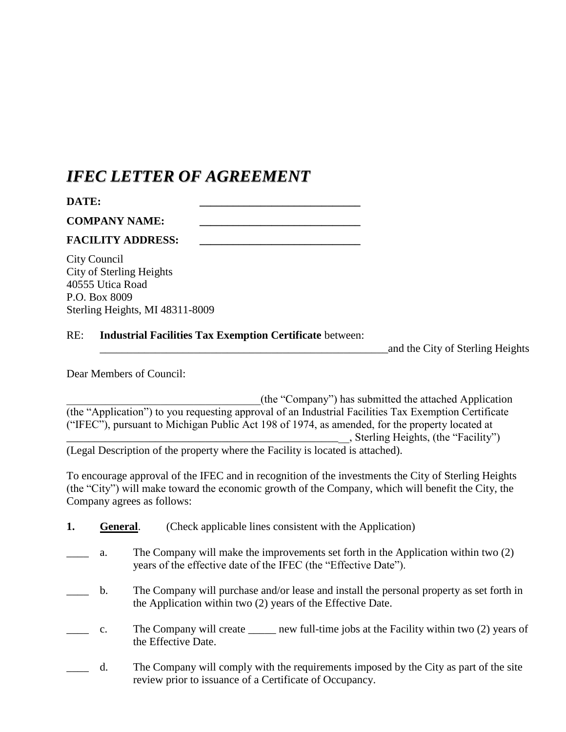### *IFEC LETTER OF AGREEMENT*

| DATE:                |  |
|----------------------|--|
| <b>COMPANY NAME:</b> |  |

#### **FACILITY ADDRESS: \_\_\_\_\_\_\_\_\_\_\_\_\_\_\_\_\_\_\_\_\_\_\_\_\_\_\_\_\_**

City Council City of Sterling Heights 40555 Utica Road P.O. Box 8009 Sterling Heights, MI 48311-8009

#### RE: **Industrial Facilities Tax Exemption Certificate** between:

\_\_\_\_\_\_\_\_\_\_\_\_\_\_\_\_\_\_\_\_\_\_\_\_\_\_\_\_\_\_\_\_\_\_\_\_\_\_\_\_\_\_\_\_\_\_\_\_\_\_\_\_and the City of Sterling Heights

Dear Members of Council:

\_\_\_\_\_\_\_\_\_\_\_\_\_\_\_\_\_\_\_\_\_\_\_\_\_\_\_\_\_\_\_\_\_\_\_(the "Company") has submitted the attached Application (the "Application") to you requesting approval of an Industrial Facilities Tax Exemption Certificate ("IFEC"), pursuant to Michigan Public Act 198 of 1974, as amended, for the property located at \_\_\_\_\_\_\_\_\_\_\_\_\_\_\_\_\_\_\_\_\_\_\_\_\_\_\_\_\_\_\_\_\_\_\_\_\_\_\_\_\_\_\_\_\_\_\_\_\_\_\_, Sterling Heights, (the "Facility")

(Legal Description of the property where the Facility is located is attached).

To encourage approval of the IFEC and in recognition of the investments the City of Sterling Heights (the "City") will make toward the economic growth of the Company, which will benefit the City, the Company agrees as follows:

- **1. General.** (Check applicable lines consistent with the Application)
- a. The Company will make the improvements set forth in the Application within two (2) years of the effective date of the IFEC (the "Effective Date").
- b. The Company will purchase and/or lease and install the personal property as set forth in the Application within two (2) years of the Effective Date.
- c. The Company will create <u>seemach new full-time</u> jobs at the Facility within two (2) years of the Effective Date.
- d. The Company will comply with the requirements imposed by the City as part of the site review prior to issuance of a Certificate of Occupancy.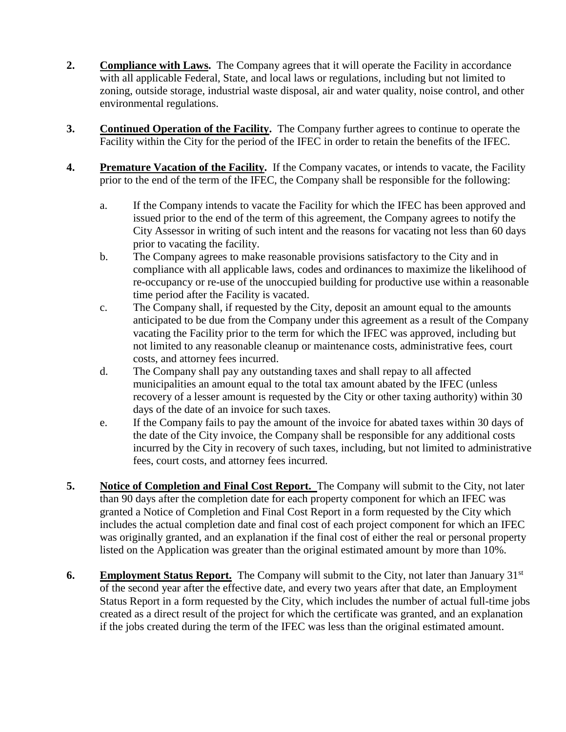- **2. Compliance with Laws.** The Company agrees that it will operate the Facility in accordance with all applicable Federal, State, and local laws or regulations, including but not limited to zoning, outside storage, industrial waste disposal, air and water quality, noise control, and other environmental regulations.
- **3. Continued Operation of the Facility.** The Company further agrees to continue to operate the Facility within the City for the period of the IFEC in order to retain the benefits of the IFEC.
- **4. Premature Vacation of the Facility.** If the Company vacates, or intends to vacate, the Facility prior to the end of the term of the IFEC, the Company shall be responsible for the following:
	- a. If the Company intends to vacate the Facility for which the IFEC has been approved and issued prior to the end of the term of this agreement, the Company agrees to notify the City Assessor in writing of such intent and the reasons for vacating not less than 60 days prior to vacating the facility.
	- b. The Company agrees to make reasonable provisions satisfactory to the City and in compliance with all applicable laws, codes and ordinances to maximize the likelihood of re-occupancy or re-use of the unoccupied building for productive use within a reasonable time period after the Facility is vacated.
	- c. The Company shall, if requested by the City, deposit an amount equal to the amounts anticipated to be due from the Company under this agreement as a result of the Company vacating the Facility prior to the term for which the IFEC was approved, including but not limited to any reasonable cleanup or maintenance costs, administrative fees, court costs, and attorney fees incurred.
	- d. The Company shall pay any outstanding taxes and shall repay to all affected municipalities an amount equal to the total tax amount abated by the IFEC (unless recovery of a lesser amount is requested by the City or other taxing authority) within 30 days of the date of an invoice for such taxes.
	- e. If the Company fails to pay the amount of the invoice for abated taxes within 30 days of the date of the City invoice, the Company shall be responsible for any additional costs incurred by the City in recovery of such taxes, including, but not limited to administrative fees, court costs, and attorney fees incurred.
- **5.** Notice of Completion and Final Cost Report. The Company will submit to the City, not later than 90 days after the completion date for each property component for which an IFEC was granted a Notice of Completion and Final Cost Report in a form requested by the City which includes the actual completion date and final cost of each project component for which an IFEC was originally granted, and an explanation if the final cost of either the real or personal property listed on the Application was greater than the original estimated amount by more than 10%.
- **6. Employment Status Report.** The Company will submit to the City, not later than January 31<sup>st</sup> of the second year after the effective date, and every two years after that date, an Employment Status Report in a form requested by the City, which includes the number of actual full-time jobs created as a direct result of the project for which the certificate was granted, and an explanation if the jobs created during the term of the IFEC was less than the original estimated amount.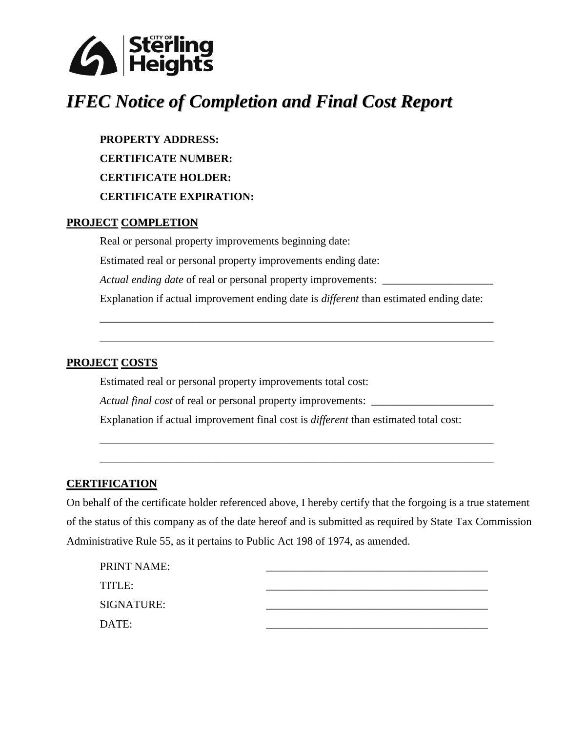

# *IFEC Notice of Completion and Final Cost Report*

**PROPERTY ADDRESS: CERTIFICATE NUMBER: CERTIFICATE HOLDER: CERTIFICATE EXPIRATION:**

#### **PROJECT COMPLETION**

Real or personal property improvements beginning date: Estimated real or personal property improvements ending date: *Actual ending date* of real or personal property improvements: \_\_\_\_\_\_\_\_\_\_\_\_\_\_\_\_\_\_\_\_\_\_\_ Explanation if actual improvement ending date is *different* than estimated ending date: \_\_\_\_\_\_\_\_\_\_\_\_\_\_\_\_\_\_\_\_\_\_\_\_\_\_\_\_\_\_\_\_\_\_\_\_\_\_\_\_\_\_\_\_\_\_\_\_\_\_\_\_\_\_\_\_\_\_\_\_\_\_\_\_\_\_\_\_\_\_\_

\_\_\_\_\_\_\_\_\_\_\_\_\_\_\_\_\_\_\_\_\_\_\_\_\_\_\_\_\_\_\_\_\_\_\_\_\_\_\_\_\_\_\_\_\_\_\_\_\_\_\_\_\_\_\_\_\_\_\_\_\_\_\_\_\_\_\_\_\_\_\_

### **PROJECT COSTS**

Estimated real or personal property improvements total cost: *Actual final cost* of real or personal property improvements: Explanation if actual improvement final cost is *different* than estimated total cost:

#### **CERTIFICATION**

On behalf of the certificate holder referenced above, I hereby certify that the forgoing is a true statement of the status of this company as of the date hereof and is submitted as required by State Tax Commission Administrative Rule 55, as it pertains to Public Act 198 of 1974, as amended.

\_\_\_\_\_\_\_\_\_\_\_\_\_\_\_\_\_\_\_\_\_\_\_\_\_\_\_\_\_\_\_\_\_\_\_\_\_\_\_\_\_\_\_\_\_\_\_\_\_\_\_\_\_\_\_\_\_\_\_\_\_\_\_\_\_\_\_\_\_\_\_

\_\_\_\_\_\_\_\_\_\_\_\_\_\_\_\_\_\_\_\_\_\_\_\_\_\_\_\_\_\_\_\_\_\_\_\_\_\_\_\_\_\_\_\_\_\_\_\_\_\_\_\_\_\_\_\_\_\_\_\_\_\_\_\_\_\_\_\_\_\_\_

| <b>PRINT NAME:</b> |  |
|--------------------|--|
| TITLE:             |  |
| <b>SIGNATURE:</b>  |  |
| DATE:              |  |
|                    |  |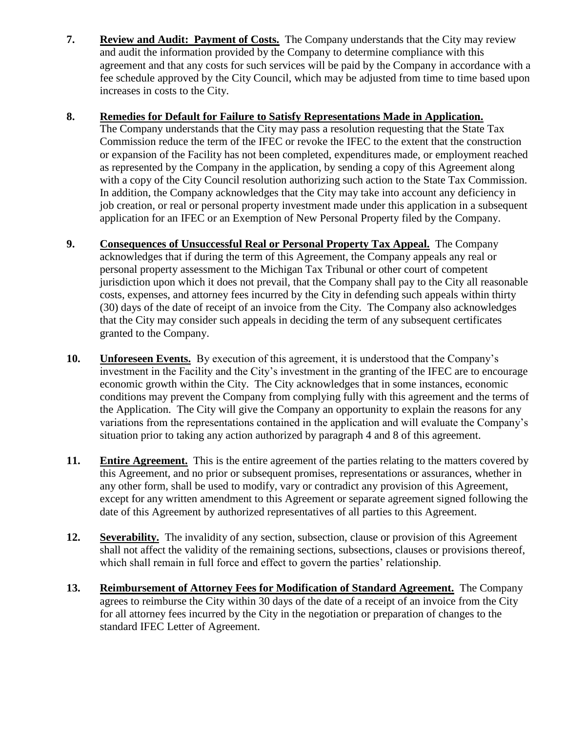**7. Review and Audit: Payment of Costs.** The Company understands that the City may review and audit the information provided by the Company to determine compliance with this agreement and that any costs for such services will be paid by the Company in accordance with a fee schedule approved by the City Council, which may be adjusted from time to time based upon increases in costs to the City.

#### **8. Remedies for Default for Failure to Satisfy Representations Made in Application.**

The Company understands that the City may pass a resolution requesting that the State Tax Commission reduce the term of the IFEC or revoke the IFEC to the extent that the construction or expansion of the Facility has not been completed, expenditures made, or employment reached as represented by the Company in the application, by sending a copy of this Agreement along with a copy of the City Council resolution authorizing such action to the State Tax Commission. In addition, the Company acknowledges that the City may take into account any deficiency in job creation, or real or personal property investment made under this application in a subsequent application for an IFEC or an Exemption of New Personal Property filed by the Company.

- **9. Consequences of Unsuccessful Real or Personal Property Tax Appeal.** The Company acknowledges that if during the term of this Agreement, the Company appeals any real or personal property assessment to the Michigan Tax Tribunal or other court of competent jurisdiction upon which it does not prevail, that the Company shall pay to the City all reasonable costs, expenses, and attorney fees incurred by the City in defending such appeals within thirty (30) days of the date of receipt of an invoice from the City. The Company also acknowledges that the City may consider such appeals in deciding the term of any subsequent certificates granted to the Company.
- **10. Unforeseen Events.** By execution of this agreement, it is understood that the Company's investment in the Facility and the City's investment in the granting of the IFEC are to encourage economic growth within the City. The City acknowledges that in some instances, economic conditions may prevent the Company from complying fully with this agreement and the terms of the Application. The City will give the Company an opportunity to explain the reasons for any variations from the representations contained in the application and will evaluate the Company's situation prior to taking any action authorized by paragraph 4 and 8 of this agreement.
- **11. Entire Agreement.** This is the entire agreement of the parties relating to the matters covered by this Agreement, and no prior or subsequent promises, representations or assurances, whether in any other form, shall be used to modify, vary or contradict any provision of this Agreement, except for any written amendment to this Agreement or separate agreement signed following the date of this Agreement by authorized representatives of all parties to this Agreement.
- **12. Severability.** The invalidity of any section, subsection, clause or provision of this Agreement shall not affect the validity of the remaining sections, subsections, clauses or provisions thereof, which shall remain in full force and effect to govern the parties' relationship.
- **13. Reimbursement of Attorney Fees for Modification of Standard Agreement.** The Company agrees to reimburse the City within 30 days of the date of a receipt of an invoice from the City for all attorney fees incurred by the City in the negotiation or preparation of changes to the standard IFEC Letter of Agreement.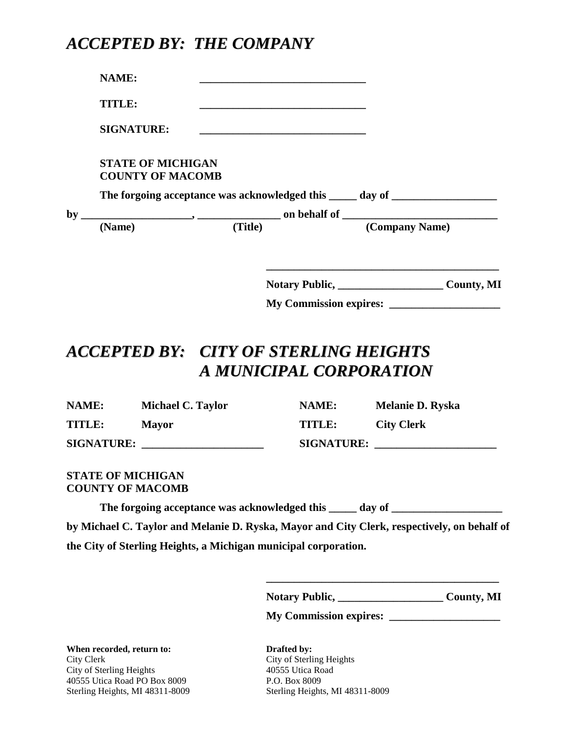### *ACCEPTED BY: THE COMPANY*

**NAME: \_\_\_\_\_\_\_\_\_\_\_\_\_\_\_\_\_\_\_\_\_\_\_\_\_\_\_\_\_\_**

**TITLE: \_\_\_\_\_\_\_\_\_\_\_\_\_\_\_\_\_\_\_\_\_\_\_\_\_\_\_\_\_\_**

**SIGNATURE: \_\_\_\_\_\_\_\_\_\_\_\_\_\_\_\_\_\_\_\_\_\_\_\_\_\_\_\_\_\_**

### **STATE OF MICHIGAN COUNTY OF MACOMB**

The forgoing acceptance was acknowledged this \_\_\_\_\_ day of \_\_\_\_\_\_\_\_\_\_\_\_\_\_\_\_\_\_\_\_\_\_

 $by$   $\frac{1}{\text{Name}}$ ,  $\frac{1}{\text{m}}$  on behalf of  $\frac{1}{\text{m}}$  (Company Name) **(Name) (Title) (Company Name)**

**Notary Public, \_\_\_\_\_\_\_\_\_\_\_\_\_\_\_\_\_\_\_ County, MI**

**My Commission expires: \_\_\_\_\_\_\_\_\_\_\_\_\_\_\_\_\_\_\_\_**

**\_\_\_\_\_\_\_\_\_\_\_\_\_\_\_\_\_\_\_\_\_\_\_\_\_\_\_\_\_\_\_\_\_\_\_\_\_\_\_\_\_\_**

## *ACCEPTED BY: CITY OF STERLING HEIGHTS A MUNICIPAL CORPORATION*

| NAME:             | Michael C. Taylor | NAME:             | <b>Melanie D. Ryska</b> |
|-------------------|-------------------|-------------------|-------------------------|
| TITLE:            | <b>Mayor</b>      | TITLE:            | <b>City Clerk</b>       |
| <b>SIGNATURE:</b> |                   | <b>SIGNATURE:</b> |                         |

#### **STATE OF MICHIGAN COUNTY OF MACOMB**

The forgoing acceptance was acknowledged this \_\_\_\_\_ day of \_\_\_\_\_\_\_\_\_\_\_\_\_\_\_\_\_\_\_\_\_\_ **by Michael C. Taylor and Melanie D. Ryska, Mayor and City Clerk, respectively, on behalf of the City of Sterling Heights, a Michigan municipal corporation.**

Notary Public, County, MI

**\_\_\_\_\_\_\_\_\_\_\_\_\_\_\_\_\_\_\_\_\_\_\_\_\_\_\_\_\_\_\_\_\_\_\_\_\_\_\_\_\_\_**

**My Commission expires: \_\_\_\_\_\_\_\_\_\_\_\_\_\_\_\_\_\_\_\_**

**When recorded, return to: Drafted by:** City Clerk City of Sterling Heights City of Sterling Heights 40555 Utica Road 40555 Utica Road PO Box 8009 P.O. Box 8009

Sterling Heights, MI 48311-8009 Sterling Heights, MI 48311-8009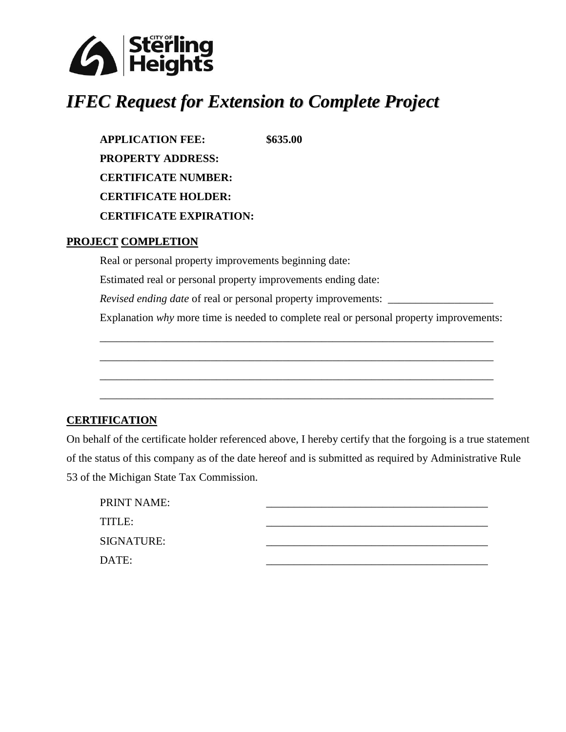

## *IFEC Request for Extension to Complete Project*

**APPLICATION FEE: \$635.00 PROPERTY ADDRESS: CERTIFICATE NUMBER: CERTIFICATE HOLDER: CERTIFICATE EXPIRATION:**

#### **PROJECT COMPLETION**

Real or personal property improvements beginning date:

Estimated real or personal property improvements ending date:

*Revised ending date* of real or personal property improvements: \_\_\_\_\_\_\_\_\_\_\_\_\_\_\_\_\_

Explanation *why* more time is needed to complete real or personal property improvements:

\_\_\_\_\_\_\_\_\_\_\_\_\_\_\_\_\_\_\_\_\_\_\_\_\_\_\_\_\_\_\_\_\_\_\_\_\_\_\_\_\_\_\_\_\_\_\_\_\_\_\_\_\_\_\_\_\_\_\_\_\_\_\_\_\_\_\_\_\_\_\_

\_\_\_\_\_\_\_\_\_\_\_\_\_\_\_\_\_\_\_\_\_\_\_\_\_\_\_\_\_\_\_\_\_\_\_\_\_\_\_\_\_\_\_\_\_\_\_\_\_\_\_\_\_\_\_\_\_\_\_\_\_\_\_\_\_\_\_\_\_\_\_

\_\_\_\_\_\_\_\_\_\_\_\_\_\_\_\_\_\_\_\_\_\_\_\_\_\_\_\_\_\_\_\_\_\_\_\_\_\_\_\_\_\_\_\_\_\_\_\_\_\_\_\_\_\_\_\_\_\_\_\_\_\_\_\_\_\_\_\_\_\_\_

\_\_\_\_\_\_\_\_\_\_\_\_\_\_\_\_\_\_\_\_\_\_\_\_\_\_\_\_\_\_\_\_\_\_\_\_\_\_\_\_\_\_\_\_\_\_\_\_\_\_\_\_\_\_\_\_\_\_\_\_\_\_\_\_\_\_\_\_\_\_\_

#### **CERTIFICATION**

On behalf of the certificate holder referenced above, I hereby certify that the forgoing is a true statement of the status of this company as of the date hereof and is submitted as required by Administrative Rule 53 of the Michigan State Tax Commission.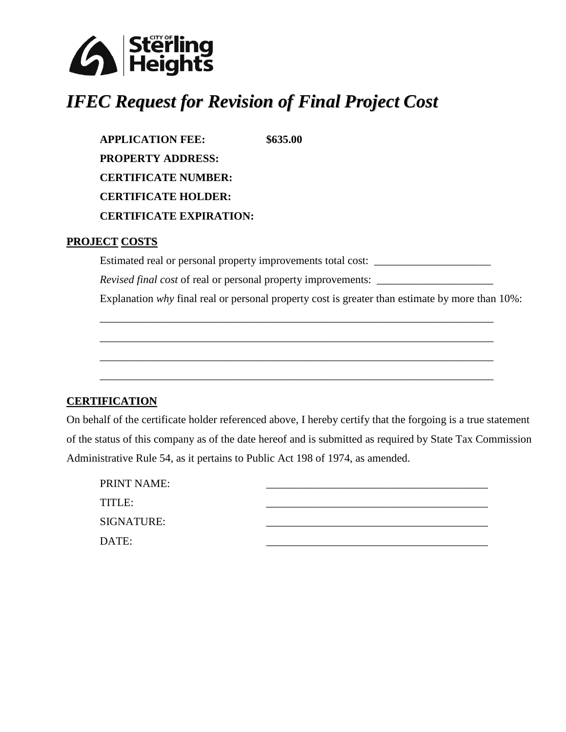

# *IFEC Request for Revision of Final Project Cost*

**APPLICATION FEE: \$635.00 PROPERTY ADDRESS: CERTIFICATE NUMBER: CERTIFICATE HOLDER: CERTIFICATE EXPIRATION:**

#### **PROJECT COSTS**

Estimated real or personal property improvements total cost: \_\_\_\_\_\_\_\_\_\_\_\_\_\_\_\_\_\_\_

\_\_\_\_\_\_\_\_\_\_\_\_\_\_\_\_\_\_\_\_\_\_\_\_\_\_\_\_\_\_\_\_\_\_\_\_\_\_\_\_\_\_\_\_\_\_\_\_\_\_\_\_\_\_\_\_\_\_\_\_\_\_\_\_\_\_\_\_\_\_\_

\_\_\_\_\_\_\_\_\_\_\_\_\_\_\_\_\_\_\_\_\_\_\_\_\_\_\_\_\_\_\_\_\_\_\_\_\_\_\_\_\_\_\_\_\_\_\_\_\_\_\_\_\_\_\_\_\_\_\_\_\_\_\_\_\_\_\_\_\_\_\_

\_\_\_\_\_\_\_\_\_\_\_\_\_\_\_\_\_\_\_\_\_\_\_\_\_\_\_\_\_\_\_\_\_\_\_\_\_\_\_\_\_\_\_\_\_\_\_\_\_\_\_\_\_\_\_\_\_\_\_\_\_\_\_\_\_\_\_\_\_\_\_

\_\_\_\_\_\_\_\_\_\_\_\_\_\_\_\_\_\_\_\_\_\_\_\_\_\_\_\_\_\_\_\_\_\_\_\_\_\_\_\_\_\_\_\_\_\_\_\_\_\_\_\_\_\_\_\_\_\_\_\_\_\_\_\_\_\_\_\_\_\_\_

*Revised final cost* of real or personal property improvements: \_\_\_\_\_\_\_\_\_\_\_\_\_\_\_\_\_\_

Explanation *why* final real or personal property cost is greater than estimate by more than 10%:

#### **CERTIFICATION**

On behalf of the certificate holder referenced above, I hereby certify that the forgoing is a true statement of the status of this company as of the date hereof and is submitted as required by State Tax Commission Administrative Rule 54, as it pertains to Public Act 198 of 1974, as amended.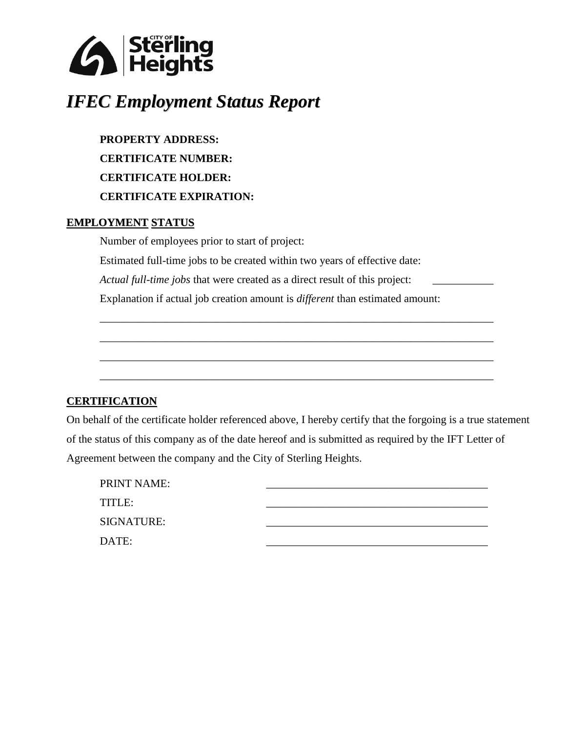

# *IFEC Employment Status Report*

**PROPERTY ADDRESS: CERTIFICATE NUMBER: CERTIFICATE HOLDER: CERTIFICATE EXPIRATION:**

#### **EMPLOYMENT STATUS**

Number of employees prior to start of project:

Estimated full-time jobs to be created within two years of effective date:

*Actual full-time jobs* that were created as a direct result of this project:

Explanation if actual job creation amount is *different* than estimated amount:

### **CERTIFICATION**

On behalf of the certificate holder referenced above, I hereby certify that the forgoing is a true statement of the status of this company as of the date hereof and is submitted as required by the IFT Letter of Agreement between the company and the City of Sterling Heights.

\_\_\_\_\_\_\_\_\_\_\_\_\_\_\_\_\_\_\_\_\_\_\_\_\_\_\_\_\_\_\_\_\_\_\_\_\_\_\_\_\_\_\_\_\_\_\_\_\_\_\_\_\_\_\_\_\_\_\_\_\_\_\_\_\_\_\_\_\_\_\_

\_\_\_\_\_\_\_\_\_\_\_\_\_\_\_\_\_\_\_\_\_\_\_\_\_\_\_\_\_\_\_\_\_\_\_\_\_\_\_\_\_\_\_\_\_\_\_\_\_\_\_\_\_\_\_\_\_\_\_\_\_\_\_\_\_\_\_\_\_\_\_

\_\_\_\_\_\_\_\_\_\_\_\_\_\_\_\_\_\_\_\_\_\_\_\_\_\_\_\_\_\_\_\_\_\_\_\_\_\_\_\_\_\_\_\_\_\_\_\_\_\_\_\_\_\_\_\_\_\_\_\_\_\_\_\_\_\_\_\_\_\_\_

\_\_\_\_\_\_\_\_\_\_\_\_\_\_\_\_\_\_\_\_\_\_\_\_\_\_\_\_\_\_\_\_\_\_\_\_\_\_\_\_\_\_\_\_\_\_\_\_\_\_\_\_\_\_\_\_\_\_\_\_\_\_\_\_\_\_\_\_\_\_\_